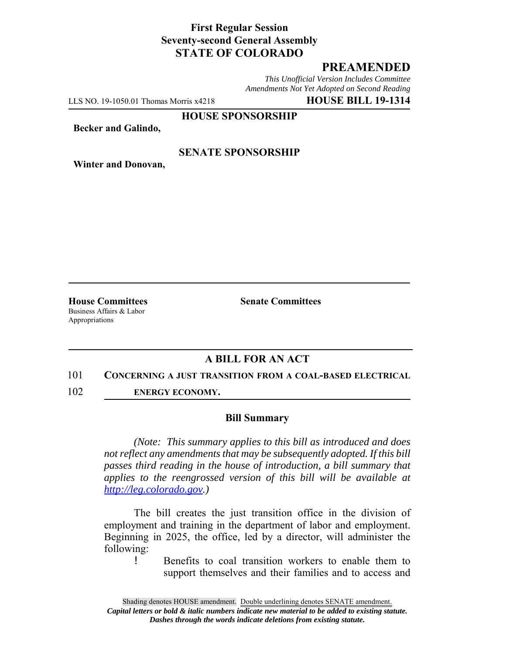### **First Regular Session Seventy-second General Assembly STATE OF COLORADO**

# **PREAMENDED**

*This Unofficial Version Includes Committee Amendments Not Yet Adopted on Second Reading*

LLS NO. 19-1050.01 Thomas Morris x4218 **HOUSE BILL 19-1314**

**HOUSE SPONSORSHIP**

**Becker and Galindo,**

#### **SENATE SPONSORSHIP**

**Winter and Donovan,**

Business Affairs & Labor Appropriations

**House Committees Senate Committees** 

## **A BILL FOR AN ACT**

#### 101 **CONCERNING A JUST TRANSITION FROM A COAL-BASED ELECTRICAL**

102 **ENERGY ECONOMY.**

#### **Bill Summary**

*(Note: This summary applies to this bill as introduced and does not reflect any amendments that may be subsequently adopted. If this bill passes third reading in the house of introduction, a bill summary that applies to the reengrossed version of this bill will be available at http://leg.colorado.gov.)*

The bill creates the just transition office in the division of employment and training in the department of labor and employment. Beginning in 2025, the office, led by a director, will administer the following:

! Benefits to coal transition workers to enable them to support themselves and their families and to access and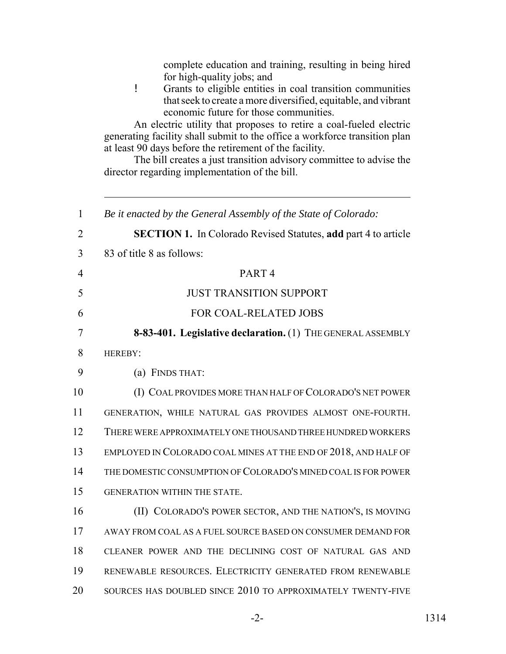| complete education and training, resulting in being hired<br>for high-quality jobs; and<br>Ţ<br>Grants to eligible entities in coal transition communities<br>that seek to create a more diversified, equitable, and vibrant<br>economic future for those communities.<br>An electric utility that proposes to retire a coal-fueled electric<br>generating facility shall submit to the office a workforce transition plan<br>at least 90 days before the retirement of the facility.<br>The bill creates a just transition advisory committee to advise the<br>director regarding implementation of the bill. |
|----------------------------------------------------------------------------------------------------------------------------------------------------------------------------------------------------------------------------------------------------------------------------------------------------------------------------------------------------------------------------------------------------------------------------------------------------------------------------------------------------------------------------------------------------------------------------------------------------------------|
| Be it enacted by the General Assembly of the State of Colorado:                                                                                                                                                                                                                                                                                                                                                                                                                                                                                                                                                |
| <b>SECTION 1.</b> In Colorado Revised Statutes, add part 4 to article                                                                                                                                                                                                                                                                                                                                                                                                                                                                                                                                          |
| 83 of title 8 as follows:                                                                                                                                                                                                                                                                                                                                                                                                                                                                                                                                                                                      |
| PART <sub>4</sub>                                                                                                                                                                                                                                                                                                                                                                                                                                                                                                                                                                                              |
| <b>JUST TRANSITION SUPPORT</b>                                                                                                                                                                                                                                                                                                                                                                                                                                                                                                                                                                                 |
| <b>FOR COAL-RELATED JOBS</b>                                                                                                                                                                                                                                                                                                                                                                                                                                                                                                                                                                                   |
| 8-83-401. Legislative declaration. (1) THE GENERAL ASSEMBLY                                                                                                                                                                                                                                                                                                                                                                                                                                                                                                                                                    |
| HEREBY:                                                                                                                                                                                                                                                                                                                                                                                                                                                                                                                                                                                                        |
| (a) FINDS THAT:                                                                                                                                                                                                                                                                                                                                                                                                                                                                                                                                                                                                |
| (I) COAL PROVIDES MORE THAN HALF OF COLORADO'S NET POWER                                                                                                                                                                                                                                                                                                                                                                                                                                                                                                                                                       |
| GENERATION, WHILE NATURAL GAS PROVIDES ALMOST ONE-FOURTH.                                                                                                                                                                                                                                                                                                                                                                                                                                                                                                                                                      |
| THERE WERE APPROXIMATELY ONE THOUSAND THREE HUNDRED WORKERS                                                                                                                                                                                                                                                                                                                                                                                                                                                                                                                                                    |
| EMPLOYED IN COLORADO COAL MINES AT THE END OF 2018, AND HALF OF                                                                                                                                                                                                                                                                                                                                                                                                                                                                                                                                                |
| THE DOMESTIC CONSUMPTION OF COLORADO'S MINED COAL IS FOR POWER                                                                                                                                                                                                                                                                                                                                                                                                                                                                                                                                                 |
| GENERATION WITHIN THE STATE.                                                                                                                                                                                                                                                                                                                                                                                                                                                                                                                                                                                   |
| (II) COLORADO'S POWER SECTOR, AND THE NATION'S, IS MOVING                                                                                                                                                                                                                                                                                                                                                                                                                                                                                                                                                      |
| AWAY FROM COAL AS A FUEL SOURCE BASED ON CONSUMER DEMAND FOR                                                                                                                                                                                                                                                                                                                                                                                                                                                                                                                                                   |
| CLEANER POWER AND THE DECLINING COST OF NATURAL GAS AND                                                                                                                                                                                                                                                                                                                                                                                                                                                                                                                                                        |
| RENEWABLE RESOURCES. ELECTRICITY GENERATED FROM RENEWABLE                                                                                                                                                                                                                                                                                                                                                                                                                                                                                                                                                      |
| SOURCES HAS DOUBLED SINCE 2010 TO APPROXIMATELY TWENTY-FIVE                                                                                                                                                                                                                                                                                                                                                                                                                                                                                                                                                    |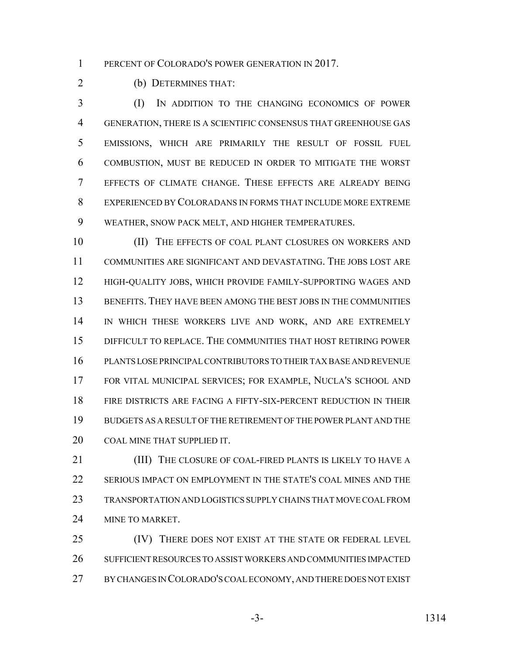1 PERCENT OF COLORADO'S POWER GENERATION IN 2017.

(b) DETERMINES THAT:

 (I) IN ADDITION TO THE CHANGING ECONOMICS OF POWER GENERATION, THERE IS A SCIENTIFIC CONSENSUS THAT GREENHOUSE GAS EMISSIONS, WHICH ARE PRIMARILY THE RESULT OF FOSSIL FUEL COMBUSTION, MUST BE REDUCED IN ORDER TO MITIGATE THE WORST EFFECTS OF CLIMATE CHANGE. THESE EFFECTS ARE ALREADY BEING EXPERIENCED BY COLORADANS IN FORMS THAT INCLUDE MORE EXTREME WEATHER, SNOW PACK MELT, AND HIGHER TEMPERATURES.

10 (II) THE EFFECTS OF COAL PLANT CLOSURES ON WORKERS AND COMMUNITIES ARE SIGNIFICANT AND DEVASTATING. THE JOBS LOST ARE HIGH-QUALITY JOBS, WHICH PROVIDE FAMILY-SUPPORTING WAGES AND BENEFITS. THEY HAVE BEEN AMONG THE BEST JOBS IN THE COMMUNITIES 14 IN WHICH THESE WORKERS LIVE AND WORK, AND ARE EXTREMELY DIFFICULT TO REPLACE. THE COMMUNITIES THAT HOST RETIRING POWER PLANTS LOSE PRINCIPAL CONTRIBUTORS TO THEIR TAX BASE AND REVENUE FOR VITAL MUNICIPAL SERVICES; FOR EXAMPLE, NUCLA'S SCHOOL AND FIRE DISTRICTS ARE FACING A FIFTY-SIX-PERCENT REDUCTION IN THEIR BUDGETS AS A RESULT OF THE RETIREMENT OF THE POWER PLANT AND THE COAL MINE THAT SUPPLIED IT.

**(III)** THE CLOSURE OF COAL-FIRED PLANTS IS LIKELY TO HAVE A SERIOUS IMPACT ON EMPLOYMENT IN THE STATE'S COAL MINES AND THE TRANSPORTATION AND LOGISTICS SUPPLY CHAINS THAT MOVE COAL FROM 24 MINE TO MARKET.

25 (IV) THERE DOES NOT EXIST AT THE STATE OR FEDERAL LEVEL SUFFICIENT RESOURCES TO ASSIST WORKERS AND COMMUNITIES IMPACTED BY CHANGES IN COLORADO'S COAL ECONOMY, AND THERE DOES NOT EXIST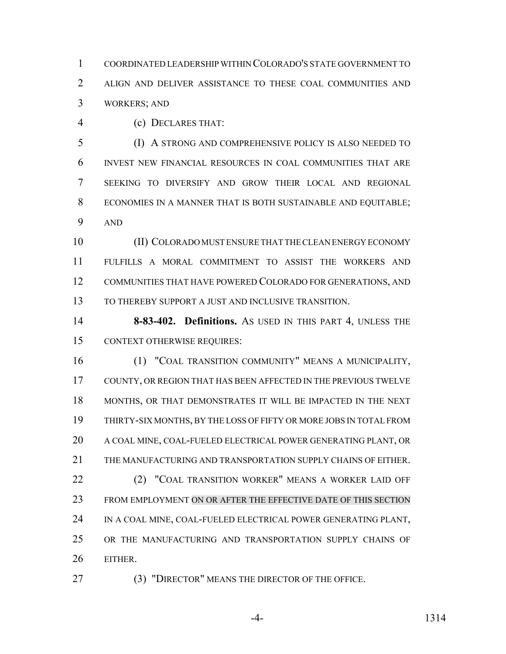COORDINATED LEADERSHIP WITHIN COLORADO'S STATE GOVERNMENT TO ALIGN AND DELIVER ASSISTANCE TO THESE COAL COMMUNITIES AND WORKERS; AND

(c) DECLARES THAT:

 (I) A STRONG AND COMPREHENSIVE POLICY IS ALSO NEEDED TO INVEST NEW FINANCIAL RESOURCES IN COAL COMMUNITIES THAT ARE SEEKING TO DIVERSIFY AND GROW THEIR LOCAL AND REGIONAL ECONOMIES IN A MANNER THAT IS BOTH SUSTAINABLE AND EQUITABLE; AND

 (II) COLORADO MUST ENSURE THAT THE CLEAN ENERGY ECONOMY FULFILLS A MORAL COMMITMENT TO ASSIST THE WORKERS AND COMMUNITIES THAT HAVE POWERED COLORADO FOR GENERATIONS, AND TO THEREBY SUPPORT A JUST AND INCLUSIVE TRANSITION.

 **8-83-402. Definitions.** AS USED IN THIS PART 4, UNLESS THE CONTEXT OTHERWISE REQUIRES:

 (1) "COAL TRANSITION COMMUNITY" MEANS A MUNICIPALITY, COUNTY, OR REGION THAT HAS BEEN AFFECTED IN THE PREVIOUS TWELVE MONTHS, OR THAT DEMONSTRATES IT WILL BE IMPACTED IN THE NEXT THIRTY-SIX MONTHS, BY THE LOSS OF FIFTY OR MORE JOBS IN TOTAL FROM A COAL MINE, COAL-FUELED ELECTRICAL POWER GENERATING PLANT, OR 21 THE MANUFACTURING AND TRANSPORTATION SUPPLY CHAINS OF EITHER. 22 (2) "COAL TRANSITION WORKER" MEANS A WORKER LAID OFF FROM EMPLOYMENT ON OR AFTER THE EFFECTIVE DATE OF THIS SECTION IN A COAL MINE, COAL-FUELED ELECTRICAL POWER GENERATING PLANT, OR THE MANUFACTURING AND TRANSPORTATION SUPPLY CHAINS OF EITHER.

(3) "DIRECTOR" MEANS THE DIRECTOR OF THE OFFICE.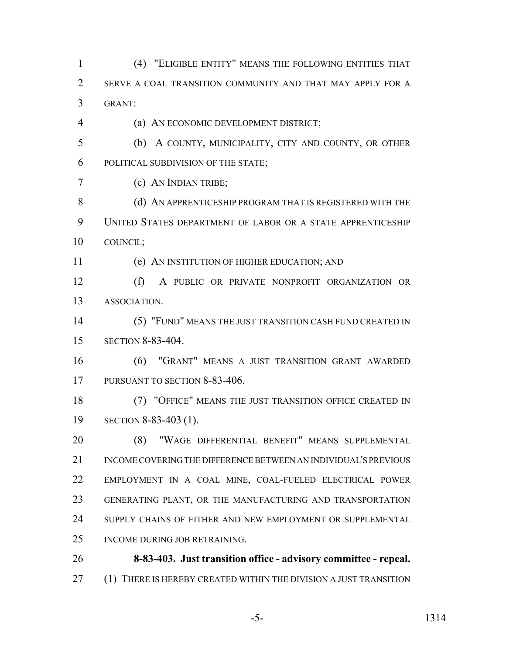(4) "ELIGIBLE ENTITY" MEANS THE FOLLOWING ENTITIES THAT SERVE A COAL TRANSITION COMMUNITY AND THAT MAY APPLY FOR A GRANT: (a) AN ECONOMIC DEVELOPMENT DISTRICT; (b) A COUNTY, MUNICIPALITY, CITY AND COUNTY, OR OTHER POLITICAL SUBDIVISION OF THE STATE; (c) AN INDIAN TRIBE; 8 (d) AN APPRENTICESHIP PROGRAM THAT IS REGISTERED WITH THE

 UNITED STATES DEPARTMENT OF LABOR OR A STATE APPRENTICESHIP COUNCIL;

(e) AN INSTITUTION OF HIGHER EDUCATION; AND

 (f) A PUBLIC OR PRIVATE NONPROFIT ORGANIZATION OR ASSOCIATION.

 (5) "FUND" MEANS THE JUST TRANSITION CASH FUND CREATED IN SECTION 8-83-404.

 (6) "GRANT" MEANS A JUST TRANSITION GRANT AWARDED 17 PURSUANT TO SECTION 8-83-406.

 (7) "OFFICE" MEANS THE JUST TRANSITION OFFICE CREATED IN SECTION 8-83-403 (1).

 (8) "WAGE DIFFERENTIAL BENEFIT" MEANS SUPPLEMENTAL INCOME COVERING THE DIFFERENCE BETWEEN AN INDIVIDUAL'S PREVIOUS EMPLOYMENT IN A COAL MINE, COAL-FUELED ELECTRICAL POWER GENERATING PLANT, OR THE MANUFACTURING AND TRANSPORTATION SUPPLY CHAINS OF EITHER AND NEW EMPLOYMENT OR SUPPLEMENTAL INCOME DURING JOB RETRAINING.

 **8-83-403. Just transition office - advisory committee - repeal.** 27 (1) THERE IS HEREBY CREATED WITHIN THE DIVISION A JUST TRANSITION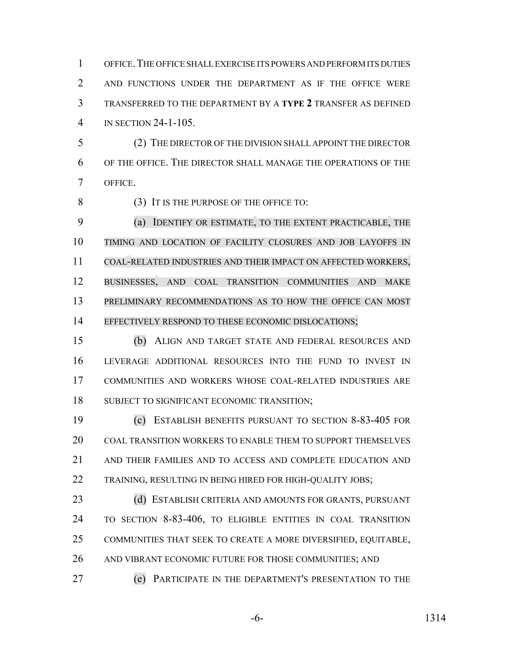OFFICE.THE OFFICE SHALL EXERCISE ITS POWERS AND PERFORM ITS DUTIES AND FUNCTIONS UNDER THE DEPARTMENT AS IF THE OFFICE WERE TRANSFERRED TO THE DEPARTMENT BY A **TYPE 2** TRANSFER AS DEFINED IN SECTION 24-1-105.

 (2) THE DIRECTOR OF THE DIVISION SHALL APPOINT THE DIRECTOR OF THE OFFICE. THE DIRECTOR SHALL MANAGE THE OPERATIONS OF THE OFFICE.

8 (3) IT IS THE PURPOSE OF THE OFFICE TO:

 (a) IDENTIFY OR ESTIMATE, TO THE EXTENT PRACTICABLE, THE TIMING AND LOCATION OF FACILITY CLOSURES AND JOB LAYOFFS IN COAL-RELATED INDUSTRIES AND THEIR IMPACT ON AFFECTED WORKERS, BUSINESSES, AND COAL TRANSITION COMMUNITIES AND MAKE 13 PRELIMINARY RECOMMENDATIONS AS TO HOW THE OFFICE CAN MOST 14 EFFECTIVELY RESPOND TO THESE ECONOMIC DISLOCATIONS;

 (b) ALIGN AND TARGET STATE AND FEDERAL RESOURCES AND LEVERAGE ADDITIONAL RESOURCES INTO THE FUND TO INVEST IN COMMUNITIES AND WORKERS WHOSE COAL-RELATED INDUSTRIES ARE SUBJECT TO SIGNIFICANT ECONOMIC TRANSITION;

 (c) ESTABLISH BENEFITS PURSUANT TO SECTION 8-83-405 FOR COAL TRANSITION WORKERS TO ENABLE THEM TO SUPPORT THEMSELVES AND THEIR FAMILIES AND TO ACCESS AND COMPLETE EDUCATION AND TRAINING, RESULTING IN BEING HIRED FOR HIGH-QUALITY JOBS;

 (d) ESTABLISH CRITERIA AND AMOUNTS FOR GRANTS, PURSUANT TO SECTION 8-83-406, TO ELIGIBLE ENTITIES IN COAL TRANSITION COMMUNITIES THAT SEEK TO CREATE A MORE DIVERSIFIED, EQUITABLE, AND VIBRANT ECONOMIC FUTURE FOR THOSE COMMUNITIES; AND

(e) PARTICIPATE IN THE DEPARTMENT'S PRESENTATION TO THE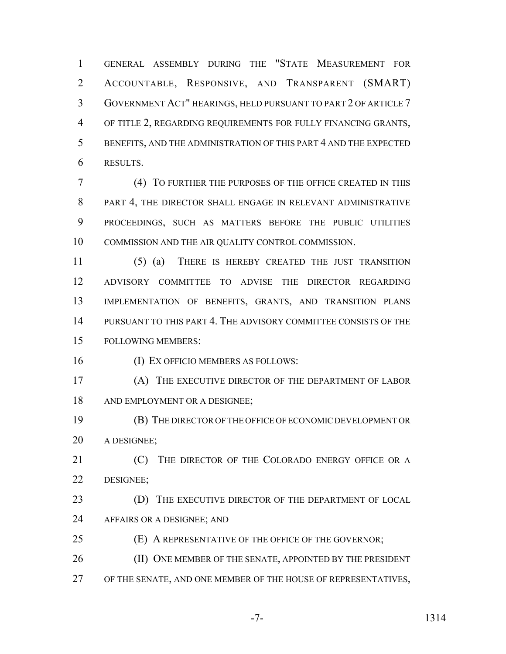GENERAL ASSEMBLY DURING THE "STATE MEASUREMENT FOR ACCOUNTABLE, RESPONSIVE, AND TRANSPARENT (SMART) GOVERNMENT ACT" HEARINGS, HELD PURSUANT TO PART 2 OF ARTICLE 7 OF TITLE 2, REGARDING REQUIREMENTS FOR FULLY FINANCING GRANTS, BENEFITS, AND THE ADMINISTRATION OF THIS PART 4 AND THE EXPECTED RESULTS.

 (4) TO FURTHER THE PURPOSES OF THE OFFICE CREATED IN THIS 8 PART 4, THE DIRECTOR SHALL ENGAGE IN RELEVANT ADMINISTRATIVE PROCEEDINGS, SUCH AS MATTERS BEFORE THE PUBLIC UTILITIES COMMISSION AND THE AIR QUALITY CONTROL COMMISSION.

 (5) (a) THERE IS HEREBY CREATED THE JUST TRANSITION ADVISORY COMMITTEE TO ADVISE THE DIRECTOR REGARDING IMPLEMENTATION OF BENEFITS, GRANTS, AND TRANSITION PLANS PURSUANT TO THIS PART 4. THE ADVISORY COMMITTEE CONSISTS OF THE FOLLOWING MEMBERS:

(I) EX OFFICIO MEMBERS AS FOLLOWS:

 (A) THE EXECUTIVE DIRECTOR OF THE DEPARTMENT OF LABOR 18 AND EMPLOYMENT OR A DESIGNEE;

 (B) THE DIRECTOR OF THE OFFICE OF ECONOMIC DEVELOPMENT OR A DESIGNEE;

**(C)** THE DIRECTOR OF THE COLORADO ENERGY OFFICE OR A DESIGNEE;

23 (D) THE EXECUTIVE DIRECTOR OF THE DEPARTMENT OF LOCAL AFFAIRS OR A DESIGNEE; AND

(E) A REPRESENTATIVE OF THE OFFICE OF THE GOVERNOR;

26 (II) ONE MEMBER OF THE SENATE, APPOINTED BY THE PRESIDENT

OF THE SENATE, AND ONE MEMBER OF THE HOUSE OF REPRESENTATIVES,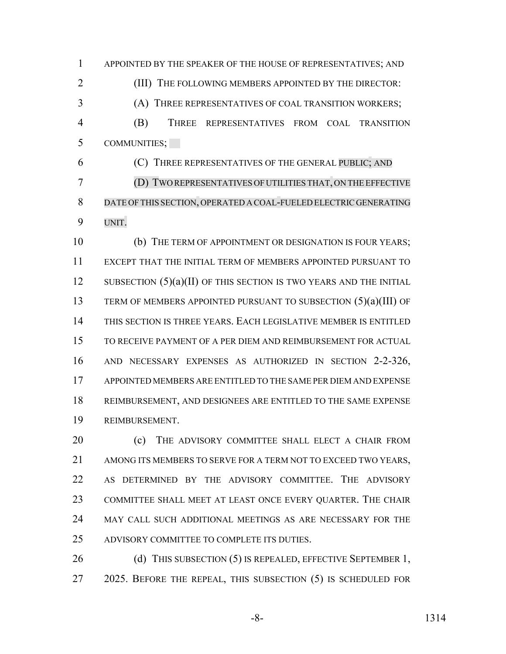APPOINTED BY THE SPEAKER OF THE HOUSE OF REPRESENTATIVES; AND 2 (III) THE FOLLOWING MEMBERS APPOINTED BY THE DIRECTOR: (A) THREE REPRESENTATIVES OF COAL TRANSITION WORKERS; (B) THREE REPRESENTATIVES FROM COAL TRANSITION COMMUNITIES;

 (C) THREE REPRESENTATIVES OF THE GENERAL PUBLIC; AND (D) TWO REPRESENTATIVES OFUTILITIES THAT, ON THE EFFECTIVE DATE OFTHIS SECTION, OPERATED A COAL-FUELED ELECTRIC GENERATING UNIT.

 (b) THE TERM OF APPOINTMENT OR DESIGNATION IS FOUR YEARS; EXCEPT THAT THE INITIAL TERM OF MEMBERS APPOINTED PURSUANT TO 12 SUBSECTION  $(5)(a)(II)$  OF THIS SECTION IS TWO YEARS AND THE INITIAL TERM OF MEMBERS APPOINTED PURSUANT TO SUBSECTION (5)(a)(III) OF THIS SECTION IS THREE YEARS. EACH LEGISLATIVE MEMBER IS ENTITLED TO RECEIVE PAYMENT OF A PER DIEM AND REIMBURSEMENT FOR ACTUAL AND NECESSARY EXPENSES AS AUTHORIZED IN SECTION 2-2-326, APPOINTED MEMBERS ARE ENTITLED TO THE SAME PER DIEM AND EXPENSE REIMBURSEMENT, AND DESIGNEES ARE ENTITLED TO THE SAME EXPENSE REIMBURSEMENT.

**(c)** THE ADVISORY COMMITTEE SHALL ELECT A CHAIR FROM AMONG ITS MEMBERS TO SERVE FOR A TERM NOT TO EXCEED TWO YEARS, AS DETERMINED BY THE ADVISORY COMMITTEE. THE ADVISORY COMMITTEE SHALL MEET AT LEAST ONCE EVERY QUARTER. THE CHAIR MAY CALL SUCH ADDITIONAL MEETINGS AS ARE NECESSARY FOR THE ADVISORY COMMITTEE TO COMPLETE ITS DUTIES.

26 (d) THIS SUBSECTION (5) IS REPEALED, EFFECTIVE SEPTEMBER 1, 27 2025. BEFORE THE REPEAL, THIS SUBSECTION (5) IS SCHEDULED FOR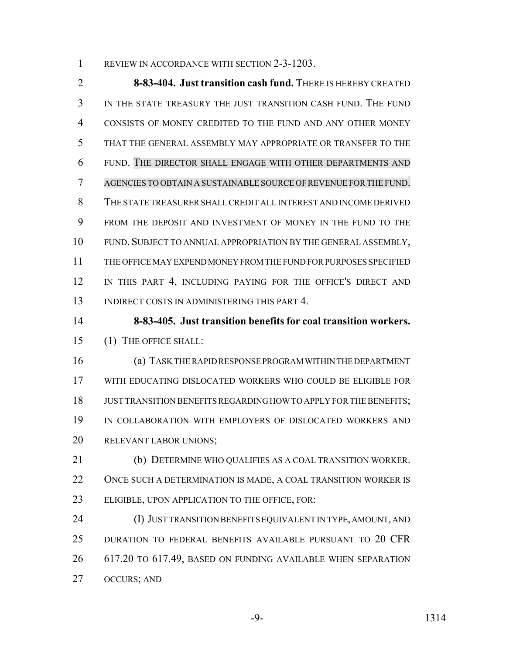1 REVIEW IN ACCORDANCE WITH SECTION 2-3-1203.

 **8-83-404. Just transition cash fund.** THERE IS HEREBY CREATED IN THE STATE TREASURY THE JUST TRANSITION CASH FUND. THE FUND CONSISTS OF MONEY CREDITED TO THE FUND AND ANY OTHER MONEY THAT THE GENERAL ASSEMBLY MAY APPROPRIATE OR TRANSFER TO THE FUND. THE DIRECTOR SHALL ENGAGE WITH OTHER DEPARTMENTS AND AGENCIES TO OBTAIN A SUSTAINABLE SOURCE OFREVENUE FORTHE FUND. THE STATE TREASURER SHALL CREDIT ALL INTEREST AND INCOME DERIVED FROM THE DEPOSIT AND INVESTMENT OF MONEY IN THE FUND TO THE FUND. SUBJECT TO ANNUAL APPROPRIATION BY THE GENERAL ASSEMBLY, THE OFFICE MAY EXPEND MONEY FROM THE FUND FOR PURPOSES SPECIFIED 12 IN THIS PART 4, INCLUDING PAYING FOR THE OFFICE'S DIRECT AND 13 INDIRECT COSTS IN ADMINISTERING THIS PART 4.

 **8-83-405. Just transition benefits for coal transition workers.** (1) THE OFFICE SHALL:

 (a) TASK THE RAPID RESPONSE PROGRAM WITHIN THE DEPARTMENT WITH EDUCATING DISLOCATED WORKERS WHO COULD BE ELIGIBLE FOR JUST TRANSITION BENEFITS REGARDING HOW TO APPLY FOR THE BENEFITS; IN COLLABORATION WITH EMPLOYERS OF DISLOCATED WORKERS AND RELEVANT LABOR UNIONS;

 (b) DETERMINE WHO QUALIFIES AS A COAL TRANSITION WORKER. ONCE SUCH A DETERMINATION IS MADE, A COAL TRANSITION WORKER IS ELIGIBLE, UPON APPLICATION TO THE OFFICE, FOR:

 (I) JUST TRANSITION BENEFITS EQUIVALENT IN TYPE, AMOUNT, AND DURATION TO FEDERAL BENEFITS AVAILABLE PURSUANT TO 20 CFR 617.20 TO 617.49, BASED ON FUNDING AVAILABLE WHEN SEPARATION OCCURS; AND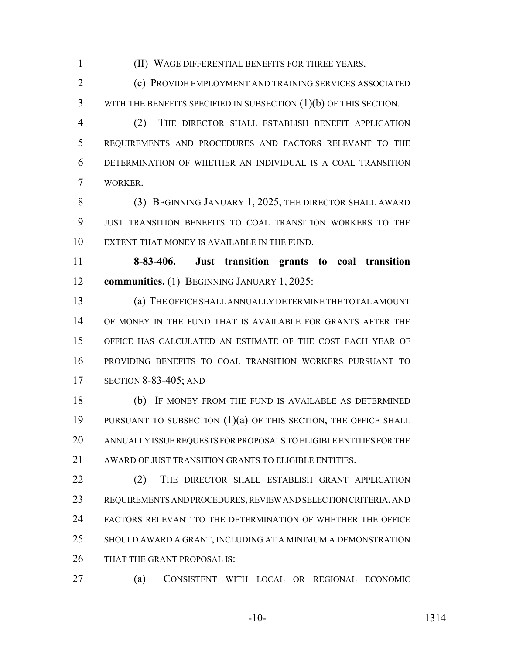(II) WAGE DIFFERENTIAL BENEFITS FOR THREE YEARS.

 (c) PROVIDE EMPLOYMENT AND TRAINING SERVICES ASSOCIATED 3 WITH THE BENEFITS SPECIFIED IN SUBSECTION (1)(b) OF THIS SECTION.

 (2) THE DIRECTOR SHALL ESTABLISH BENEFIT APPLICATION REQUIREMENTS AND PROCEDURES AND FACTORS RELEVANT TO THE DETERMINATION OF WHETHER AN INDIVIDUAL IS A COAL TRANSITION WORKER.

 (3) BEGINNING JANUARY 1, 2025, THE DIRECTOR SHALL AWARD JUST TRANSITION BENEFITS TO COAL TRANSITION WORKERS TO THE EXTENT THAT MONEY IS AVAILABLE IN THE FUND.

 **8-83-406. Just transition grants to coal transition communities.** (1) BEGINNING JANUARY 1, 2025:

 (a) THE OFFICE SHALL ANNUALLY DETERMINE THE TOTAL AMOUNT OF MONEY IN THE FUND THAT IS AVAILABLE FOR GRANTS AFTER THE OFFICE HAS CALCULATED AN ESTIMATE OF THE COST EACH YEAR OF PROVIDING BENEFITS TO COAL TRANSITION WORKERS PURSUANT TO SECTION 8-83-405; AND

 (b) IF MONEY FROM THE FUND IS AVAILABLE AS DETERMINED PURSUANT TO SUBSECTION (1)(a) OF THIS SECTION, THE OFFICE SHALL ANNUALLY ISSUE REQUESTS FOR PROPOSALS TO ELIGIBLE ENTITIES FOR THE 21 AWARD OF JUST TRANSITION GRANTS TO ELIGIBLE ENTITIES.

22 (2) THE DIRECTOR SHALL ESTABLISH GRANT APPLICATION REQUIREMENTS AND PROCEDURES, REVIEW AND SELECTION CRITERIA, AND FACTORS RELEVANT TO THE DETERMINATION OF WHETHER THE OFFICE SHOULD AWARD A GRANT, INCLUDING AT A MINIMUM A DEMONSTRATION 26 THAT THE GRANT PROPOSAL IS:

(a) CONSISTENT WITH LOCAL OR REGIONAL ECONOMIC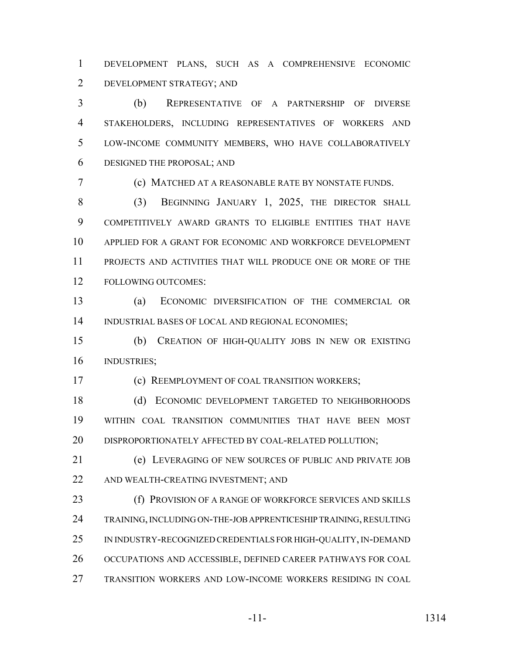DEVELOPMENT PLANS, SUCH AS A COMPREHENSIVE ECONOMIC DEVELOPMENT STRATEGY; AND

 (b) REPRESENTATIVE OF A PARTNERSHIP OF DIVERSE STAKEHOLDERS, INCLUDING REPRESENTATIVES OF WORKERS AND LOW-INCOME COMMUNITY MEMBERS, WHO HAVE COLLABORATIVELY DESIGNED THE PROPOSAL; AND

(c) MATCHED AT A REASONABLE RATE BY NONSTATE FUNDS.

8 (3) BEGINNING JANUARY 1, 2025, THE DIRECTOR SHALL COMPETITIVELY AWARD GRANTS TO ELIGIBLE ENTITIES THAT HAVE APPLIED FOR A GRANT FOR ECONOMIC AND WORKFORCE DEVELOPMENT PROJECTS AND ACTIVITIES THAT WILL PRODUCE ONE OR MORE OF THE FOLLOWING OUTCOMES:

 (a) ECONOMIC DIVERSIFICATION OF THE COMMERCIAL OR INDUSTRIAL BASES OF LOCAL AND REGIONAL ECONOMIES;

 (b) CREATION OF HIGH-QUALITY JOBS IN NEW OR EXISTING INDUSTRIES;

(c) REEMPLOYMENT OF COAL TRANSITION WORKERS;

 (d) ECONOMIC DEVELOPMENT TARGETED TO NEIGHBORHOODS WITHIN COAL TRANSITION COMMUNITIES THAT HAVE BEEN MOST 20 DISPROPORTIONATELY AFFECTED BY COAL-RELATED POLLUTION;

 (e) LEVERAGING OF NEW SOURCES OF PUBLIC AND PRIVATE JOB AND WEALTH-CREATING INVESTMENT; AND

 (f) PROVISION OF A RANGE OF WORKFORCE SERVICES AND SKILLS TRAINING, INCLUDING ON-THE-JOB APPRENTICESHIP TRAINING, RESULTING IN INDUSTRY-RECOGNIZED CREDENTIALS FOR HIGH-QUALITY, IN-DEMAND OCCUPATIONS AND ACCESSIBLE, DEFINED CAREER PATHWAYS FOR COAL TRANSITION WORKERS AND LOW-INCOME WORKERS RESIDING IN COAL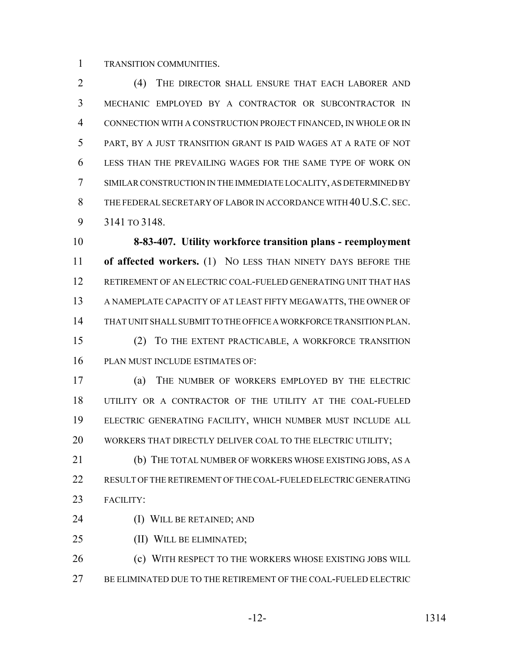TRANSITION COMMUNITIES.

 (4) THE DIRECTOR SHALL ENSURE THAT EACH LABORER AND MECHANIC EMPLOYED BY A CONTRACTOR OR SUBCONTRACTOR IN CONNECTION WITH A CONSTRUCTION PROJECT FINANCED, IN WHOLE OR IN PART, BY A JUST TRANSITION GRANT IS PAID WAGES AT A RATE OF NOT LESS THAN THE PREVAILING WAGES FOR THE SAME TYPE OF WORK ON SIMILAR CONSTRUCTION IN THE IMMEDIATE LOCALITY, AS DETERMINED BY 8 THE FEDERAL SECRETARY OF LABOR IN ACCORDANCE WITH 40 U.S.C. SEC. 3141 TO 3148.

 **8-83-407. Utility workforce transition plans - reemployment of affected workers.** (1) NO LESS THAN NINETY DAYS BEFORE THE RETIREMENT OF AN ELECTRIC COAL-FUELED GENERATING UNIT THAT HAS A NAMEPLATE CAPACITY OF AT LEAST FIFTY MEGAWATTS, THE OWNER OF THAT UNIT SHALL SUBMIT TO THE OFFICE A WORKFORCE TRANSITION PLAN. (2) TO THE EXTENT PRACTICABLE, A WORKFORCE TRANSITION PLAN MUST INCLUDE ESTIMATES OF:

 (a) THE NUMBER OF WORKERS EMPLOYED BY THE ELECTRIC UTILITY OR A CONTRACTOR OF THE UTILITY AT THE COAL-FUELED ELECTRIC GENERATING FACILITY, WHICH NUMBER MUST INCLUDE ALL 20 WORKERS THAT DIRECTLY DELIVER COAL TO THE ELECTRIC UTILITY;

 (b) THE TOTAL NUMBER OF WORKERS WHOSE EXISTING JOBS, AS A RESULT OF THE RETIREMENT OF THE COAL-FUELED ELECTRIC GENERATING FACILITY:

- (I) WILL BE RETAINED; AND
- (II) WILL BE ELIMINATED;

**(c) WITH RESPECT TO THE WORKERS WHOSE EXISTING JOBS WILL** BE ELIMINATED DUE TO THE RETIREMENT OF THE COAL-FUELED ELECTRIC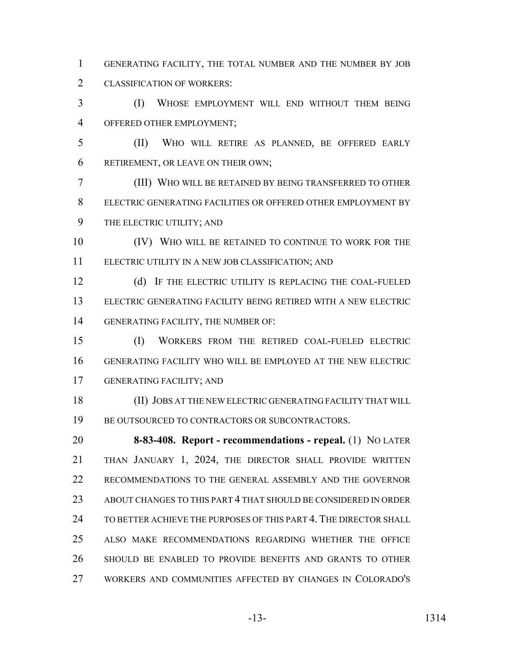GENERATING FACILITY, THE TOTAL NUMBER AND THE NUMBER BY JOB CLASSIFICATION OF WORKERS:

 (I) WHOSE EMPLOYMENT WILL END WITHOUT THEM BEING OFFERED OTHER EMPLOYMENT;

 (II) WHO WILL RETIRE AS PLANNED, BE OFFERED EARLY RETIREMENT, OR LEAVE ON THEIR OWN;

 (III) WHO WILL BE RETAINED BY BEING TRANSFERRED TO OTHER ELECTRIC GENERATING FACILITIES OR OFFERED OTHER EMPLOYMENT BY THE ELECTRIC UTILITY; AND

10 (IV) WHO WILL BE RETAINED TO CONTINUE TO WORK FOR THE ELECTRIC UTILITY IN A NEW JOB CLASSIFICATION; AND

 (d) IF THE ELECTRIC UTILITY IS REPLACING THE COAL-FUELED ELECTRIC GENERATING FACILITY BEING RETIRED WITH A NEW ELECTRIC GENERATING FACILITY, THE NUMBER OF:

 (I) WORKERS FROM THE RETIRED COAL-FUELED ELECTRIC GENERATING FACILITY WHO WILL BE EMPLOYED AT THE NEW ELECTRIC GENERATING FACILITY; AND

 (II) JOBS AT THE NEW ELECTRIC GENERATING FACILITY THAT WILL BE OUTSOURCED TO CONTRACTORS OR SUBCONTRACTORS.

 **8-83-408. Report - recommendations - repeal.** (1) NO LATER THAN JANUARY 1, 2024, THE DIRECTOR SHALL PROVIDE WRITTEN RECOMMENDATIONS TO THE GENERAL ASSEMBLY AND THE GOVERNOR ABOUT CHANGES TO THIS PART 4 THAT SHOULD BE CONSIDERED IN ORDER TO BETTER ACHIEVE THE PURPOSES OF THIS PART 4. THE DIRECTOR SHALL ALSO MAKE RECOMMENDATIONS REGARDING WHETHER THE OFFICE SHOULD BE ENABLED TO PROVIDE BENEFITS AND GRANTS TO OTHER WORKERS AND COMMUNITIES AFFECTED BY CHANGES IN COLORADO'S